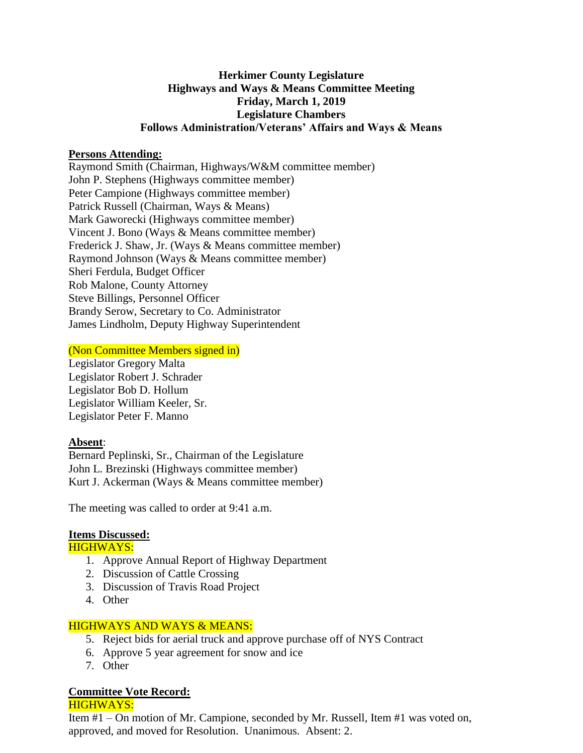# **Herkimer County Legislature Highways and Ways & Means Committee Meeting Friday, March 1, 2019 Legislature Chambers Follows Administration/Veterans' Affairs and Ways & Means**

### **Persons Attending:**

Raymond Smith (Chairman, Highways/W&M committee member) John P. Stephens (Highways committee member) Peter Campione (Highways committee member) Patrick Russell (Chairman, Ways & Means) Mark Gaworecki (Highways committee member) Vincent J. Bono (Ways & Means committee member) Frederick J. Shaw, Jr. (Ways & Means committee member) Raymond Johnson (Ways & Means committee member) Sheri Ferdula, Budget Officer Rob Malone, County Attorney Steve Billings, Personnel Officer Brandy Serow, Secretary to Co. Administrator James Lindholm, Deputy Highway Superintendent

## (Non Committee Members signed in)

Legislator Gregory Malta Legislator Robert J. Schrader Legislator Bob D. Hollum Legislator William Keeler, Sr. Legislator Peter F. Manno

#### **Absent**:

Bernard Peplinski, Sr., Chairman of the Legislature John L. Brezinski (Highways committee member) Kurt J. Ackerman (Ways & Means committee member)

The meeting was called to order at 9:41 a.m.

## **Items Discussed:**

#### HIGHWAYS:

- 1. Approve Annual Report of Highway Department
- 2. Discussion of Cattle Crossing
- 3. Discussion of Travis Road Project
- 4. Other

#### HIGHWAYS AND WAYS & MEANS:

- 5. Reject bids for aerial truck and approve purchase off of NYS Contract
- 6. Approve 5 year agreement for snow and ice
- 7. Other

# **Committee Vote Record:**

HIGHWAYS:

Item #1 – On motion of Mr. Campione, seconded by Mr. Russell, Item #1 was voted on, approved, and moved for Resolution. Unanimous. Absent: 2.